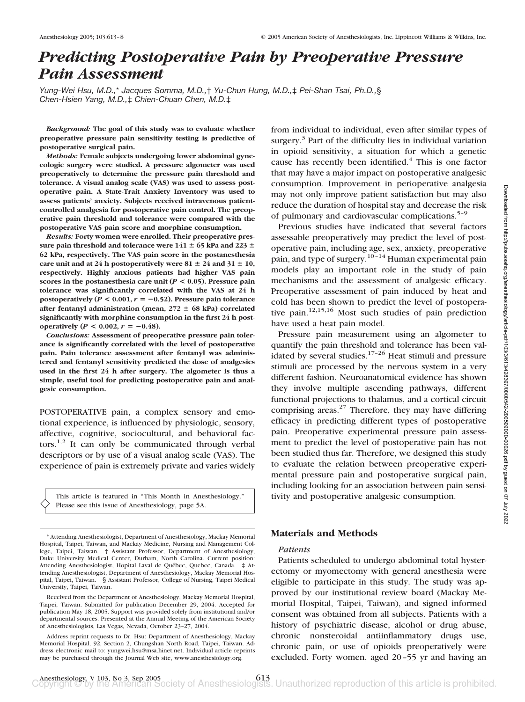# *Predicting Postoperative Pain by Preoperative Pressure Pain Assessment*

*Yung-Wei Hsu, M.D.,*\* *Jacques Somma, M.D.,*† *Yu-Chun Hung, M.D.,*‡ *Pei-Shan Tsai, Ph.D.,*§ *Chen-Hsien Yang, M.D.,*‡ *Chien-Chuan Chen, M.D.*‡

*Background:* **The goal of this study was to evaluate whether preoperative pressure pain sensitivity testing is predictive of postoperative surgical pain.**

*Methods:* **Female subjects undergoing lower abdominal gynecologic surgery were studied. A pressure algometer was used preoperatively to determine the pressure pain threshold and tolerance. A visual analog scale (VAS) was used to assess postoperative pain. A State-Trait Anxiety Inventory was used to assess patients' anxiety. Subjects received intravenous patientcontrolled analgesia for postoperative pain control. The preoperative pain threshold and tolerance were compared with the postoperative VAS pain score and morphine consumption.**

*Results:* **Forty women were enrolled. Their preoperative pres**sure pain threshold and tolerance were  $141 \pm 65$  kPa and  $223 \pm 65$ **62 kPa, respectively. The VAS pain score in the postanesthesia care unit and at 24 h postoperatively were 81**  $\pm$  **24 and 31**  $\pm$  **10, respectively. Highly anxious patients had higher VAS pain scores in the postanesthesia care unit (***P* **< 0.05). Pressure pain tolerance was significantly correlated with the VAS at 24 h** postoperatively ( $P < 0.001$ ,  $r = -0.52$ ). Pressure pain tolerance after fentanyl administration (mean,  $272 \pm 68$  kPa) correlated **significantly with morphine consumption in the first 24 h postoperatively** ( $P < 0.002$ ,  $r = -0.48$ ).

*Conclusions:* **Assessment of preoperative pressure pain tolerance is significantly correlated with the level of postoperative pain. Pain tolerance assessment after fentanyl was administered and fentanyl sensitivity predicted the dose of analgesics used in the first 24 h after surgery. The algometer is thus a simple, useful tool for predicting postoperative pain and analgesic consumption.**

POSTOPERATIVE pain, a complex sensory and emotional experience, is influenced by physiologic, sensory, affective, cognitive, sociocultural, and behavioral factors.<sup>1,2</sup> It can only be communicated through verbal descriptors or by use of a visual analog scale (VAS). The experience of pain is extremely private and varies widely

This article is featured in "This Month in Anesthesiology." Please see this issue of Anesthesiology, page 5A.

\* Attending Anesthesiologist, Department of Anesthesiology, Mackay Memorial Hospital, Taipei, Taiwan, and Mackay Medicine, Nursing and Management College, Taipei, Taiwan. † Assistant Professor, Department of Anesthesiology, Duke University Medical Center, Durham, North Carolina. Current position: Attending Anesthesiologist, Hopital Laval de Québec, Quebec, Canada. ‡ Attending Anesthesiologist, Department of Anesthesiology, Mackay Memorial Hospital, Taipei, Taiwan. § Assistant Professor, College of Nursing, Taipei Medical University, Taipei, Taiwan.

Received from the Department of Anesthesiology, Mackay Memorial Hospital, Taipei, Taiwan. Submitted for publication December 29, 2004. Accepted for publication May 18, 2005. Support was provided solely from institutional and/or departmental sources. Presented at the Annual Meeting of the American Society of Anesthesiologists, Las Vegas, Nevada, October 23–27, 2004.

Address reprint requests to Dr. Hsu: Department of Anesthesiology, Mackay Memorial Hospital, 92, Section 2, Chungshan North Road, Taipei, Taiwan. Address electronic mail to: yungwei.hsu@msa.hinet.net. Individual article reprints may be purchased through the Journal Web site, www.anesthesiology.org.

from individual to individual, even after similar types of surgery.<sup>3</sup> Part of the difficulty lies in individual variation in opioid sensitivity, a situation for which a genetic cause has recently been identified. $4$  This is one factor that may have a major impact on postoperative analgesic consumption. Improvement in perioperative analgesia may not only improve patient satisfaction but may also reduce the duration of hospital stay and decrease the risk of pulmonary and cardiovascular complications.<sup>5-9</sup>

Previous studies have indicated that several factors assessable preoperatively may predict the level of postoperative pain, including age, sex, anxiety, preoperative pain, and type of surgery.10–14 Human experimental pain models play an important role in the study of pain mechanisms and the assessment of analgesic efficacy. Preoperative assessment of pain induced by heat and cold has been shown to predict the level of postoperative pain.<sup>12,15,16</sup> Most such studies of pain prediction have used a heat pain model.

Pressure pain measurement using an algometer to quantify the pain threshold and tolerance has been validated by several studies.<sup>17-26</sup> Heat stimuli and pressure stimuli are processed by the nervous system in a very different fashion. Neuroanatomical evidence has shown they involve multiple ascending pathways, different functional projections to thalamus, and a cortical circuit comprising areas. $27$  Therefore, they may have differing efficacy in predicting different types of postoperative pain. Preoperative experimental pressure pain assessment to predict the level of postoperative pain has not been studied thus far. Therefore, we designed this study to evaluate the relation between preoperative experimental pressure pain and postoperative surgical pain, including looking for an association between pain sensitivity and postoperative analgesic consumption.

### **Materials and Methods**

#### *Patients*

Patients scheduled to undergo abdominal total hysterectomy or myomectomy with general anesthesia were eligible to participate in this study. The study was approved by our institutional review board (Mackay Memorial Hospital, Taipei, Taiwan), and signed informed consent was obtained from all subjects. Patients with a history of psychiatric disease, alcohol or drug abuse, chronic nonsteroidal antiinflammatory drugs use, chronic pain, or use of opioids preoperatively were excluded. Forty women, aged 20–55 yr and having an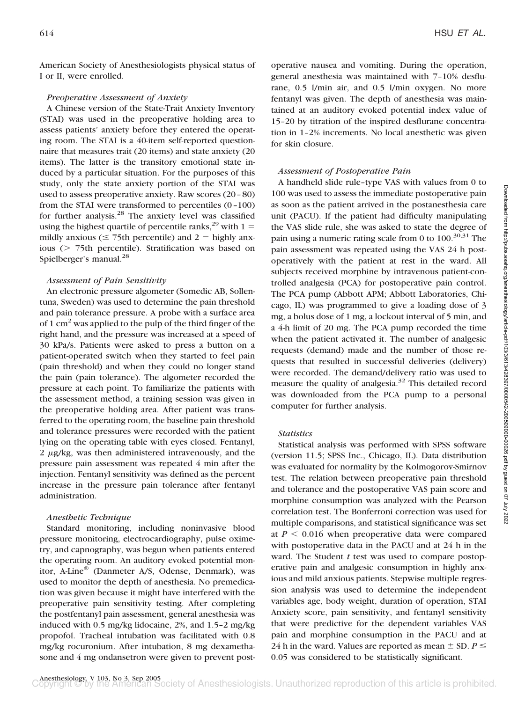American Society of Anesthesiologists physical status of I or II, were enrolled.

## *Preoperative Assessment of Anxiety*

A Chinese version of the State-Trait Anxiety Inventory (STAI) was used in the preoperative holding area to assess patients' anxiety before they entered the operating room. The STAI is a 40-item self-reported questionnaire that measures trait (20 items) and state anxiety (20 items). The latter is the transitory emotional state induced by a particular situation. For the purposes of this study, only the state anxiety portion of the STAI was used to assess preoperative anxiety. Raw scores (20–80) from the STAI were transformed to percentiles (0–100) for further analysis.28 The anxiety level was classified using the highest quartile of percentile ranks,<sup>29</sup> with  $1 =$ mildly anxious ( $\leq$  75th percentile) and 2 = highly anxious (> 75th percentile). Stratification was based on Spielberger's manual.<sup>28</sup>

# *Assessment of Pain Sensitivity*

An electronic pressure algometer (Somedic AB, Sollentuna, Sweden) was used to determine the pain threshold and pain tolerance pressure. A probe with a surface area of 1  $\text{cm}^2$  was applied to the pulp of the third finger of the right hand, and the pressure was increased at a speed of 30 kPa/s. Patients were asked to press a button on a patient-operated switch when they started to feel pain (pain threshold) and when they could no longer stand the pain (pain tolerance). The algometer recorded the pressure at each point. To familiarize the patients with the assessment method, a training session was given in the preoperative holding area. After patient was transferred to the operating room, the baseline pain threshold and tolerance pressures were recorded with the patient lying on the operating table with eyes closed. Fentanyl,  $2 \mu g/kg$ , was then administered intravenously, and the pressure pain assessment was repeated 4 min after the injection. Fentanyl sensitivity was defined as the percent increase in the pressure pain tolerance after fentanyl administration.

# *Anesthetic Technique*

Standard monitoring, including noninvasive blood pressure monitoring, electrocardiography, pulse oximetry, and capnography, was begun when patients entered the operating room. An auditory evoked potential monitor, A-Line® (Danmeter A/S, Odense, Denmark), was used to monitor the depth of anesthesia. No premedication was given because it might have interfered with the preoperative pain sensitivity testing. After completing the postfentanyl pain assessment, general anesthesia was induced with 0.5 mg/kg lidocaine, 2%, and 1.5–2 mg/kg propofol. Tracheal intubation was facilitated with 0.8 mg/kg rocuronium. After intubation, 8 mg dexamethasone and 4 mg ondansetron were given to prevent postoperative nausea and vomiting. During the operation, general anesthesia was maintained with 7–10% desflurane, 0.5 l/min air, and 0.5 l/min oxygen. No more fentanyl was given. The depth of anesthesia was maintained at an auditory evoked potential index value of 15–20 by titration of the inspired desflurane concentration in 1–2% increments. No local anesthetic was given for skin closure.

# *Assessment of Postoperative Pain*

A handheld slide rule–type VAS with values from 0 to 100 was used to assess the immediate postoperative pain as soon as the patient arrived in the postanesthesia care unit (PACU). If the patient had difficulty manipulating the VAS slide rule, she was asked to state the degree of pain using a numeric rating scale from 0 to  $100^{30,31}$  The pain assessment was repeated using the VAS 24 h postoperatively with the patient at rest in the ward. All subjects received morphine by intravenous patient-controlled analgesia (PCA) for postoperative pain control. The PCA pump (Abbott APM; Abbott Laboratories, Chicago, IL) was programmed to give a loading dose of 3 mg, a bolus dose of 1 mg, a lockout interval of 5 min, and a 4-h limit of 20 mg. The PCA pump recorded the time when the patient activated it. The number of analgesic requests (demand) made and the number of those requests that resulted in successful deliveries (delivery) were recorded. The demand/delivery ratio was used to measure the quality of analgesia.32 This detailed record was downloaded from the PCA pump to a personal computer for further analysis.

## *Statistics*

Statistical analysis was performed with SPSS software (version 11.5; SPSS Inc., Chicago, IL). Data distribution was evaluated for normality by the Kolmogorov-Smirnov test. The relation between preoperative pain threshold and tolerance and the postoperative VAS pain score and morphine consumption was analyzed with the Pearson correlation test. The Bonferroni correction was used for multiple comparisons, and statistical significance was set at  $P \leq 0.016$  when preoperative data were compared with postoperative data in the PACU and at 24 h in the ward. The Student *t* test was used to compare postoperative pain and analgesic consumption in highly anxious and mild anxious patients. Stepwise multiple regression analysis was used to determine the independent variables age, body weight, duration of operation, STAI Anxiety score, pain sensitivity, and fentanyl sensitivity that were predictive for the dependent variables VAS pain and morphine consumption in the PACU and at 24 h in the ward. Values are reported as mean  $\pm$  SD.  $P \leq$ 0.05 was considered to be statistically significant.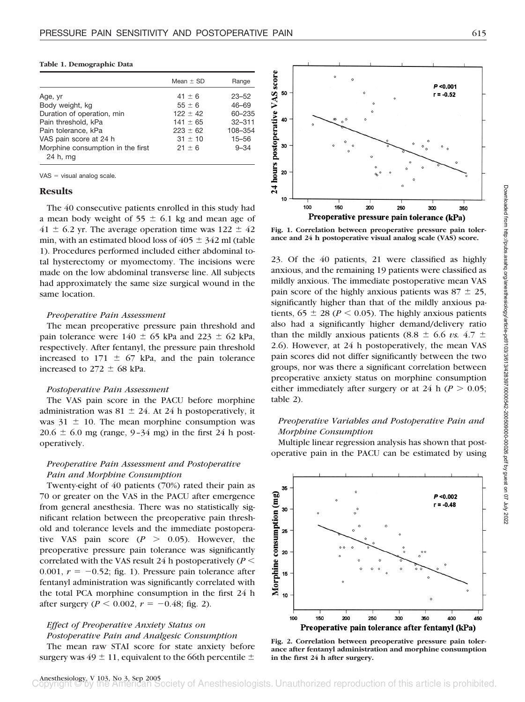#### **Table 1. Demographic Data**

|                                   | Mean $\pm$ SD | Range      |
|-----------------------------------|---------------|------------|
| Age, yr                           | $41 \pm 6$    | $23 - 52$  |
| Body weight, kg                   | $55 \pm 6$    | $46 - 69$  |
| Duration of operation, min        | $122 + 42$    | 60-235     |
| Pain threshold, kPa               | $141 + 65$    | $32 - 311$ |
| Pain tolerance, kPa               | $223 \pm 62$  | 108-354    |
| VAS pain score at 24 h            | $31 \pm 10$   | $15 - 56$  |
| Morphine consumption in the first | $21 + 6$      | $9 - 34$   |
| 24 h, mg                          |               |            |

 $VAS =$  visual analog scale.

#### **Results**

The 40 consecutive patients enrolled in this study had a mean body weight of 55  $\pm$  6.1 kg and mean age of  $41 \pm 6.2$  yr. The average operation time was  $122 \pm 42$ min, with an estimated blood loss of  $405 \pm 342$  ml (table 1). Procedures performed included either abdominal total hysterectomy or myomectomy. The incisions were made on the low abdominal transverse line. All subjects had approximately the same size surgical wound in the same location.

#### *Preoperative Pain Assessment*

The mean preoperative pressure pain threshold and pain tolerance were  $140 \pm 65$  kPa and  $223 \pm 62$  kPa, respectively. After fentanyl, the pressure pain threshold increased to 171  $\pm$  67 kPa, and the pain tolerance increased to  $272 \pm 68$  kPa.

#### *Postoperative Pain Assessment*

The VAS pain score in the PACU before morphine administration was 81  $\pm$  24. At 24 h postoperatively, it was  $31 \pm 10$ . The mean morphine consumption was  $20.6 \pm 6.0$  mg (range, 9-34 mg) in the first 24 h postoperatively.

# *Preoperative Pain Assessment and Postoperative Pain and Morphine Consumption*

Twenty-eight of 40 patients (70%) rated their pain as 70 or greater on the VAS in the PACU after emergence from general anesthesia. There was no statistically significant relation between the preoperative pain threshold and tolerance levels and the immediate postoperative VAS pain score  $(P > 0.05)$ . However, the preoperative pressure pain tolerance was significantly correlated with the VAS result 24 h postoperatively (*P* 0.001,  $r = -0.52$ ; fig. 1). Pressure pain tolerance after fentanyl administration was significantly correlated with the total PCA morphine consumption in the first 24 h after surgery ( $P < 0.002$ ,  $r = -0.48$ ; fig. 2).

# *Effect of Preoperative Anxiety Status on*

*Postoperative Pain and Analgesic Consumption*

The mean raw STAI score for state anxiety before surgery was  $49 \pm 11$ , equivalent to the 66th percentile  $\pm$ 



**Fig. 1. Correlation between preoperative pressure pain tolerance and 24 h postoperative visual analog scale (VAS) score.**

23. Of the 40 patients, 21 were classified as highly anxious, and the remaining 19 patients were classified as mildly anxious. The immediate postoperative mean VAS pain score of the highly anxious patients was  $87 \pm 25$ , significantly higher than that of the mildly anxious patients,  $65 \pm 28$  ( $P \le 0.05$ ). The highly anxious patients also had a significantly higher demand/delivery ratio than the mildly anxious patients (8.8  $\pm$  6.6 *vs.* 4.7  $\pm$ 2.6). However, at 24 h postoperatively, the mean VAS pain scores did not differ significantly between the two groups, nor was there a significant correlation between preoperative anxiety status on morphine consumption either immediately after surgery or at 24 h ( $P > 0.05$ ; table 2).

# *Preoperative Variables and Postoperative Pain and Morphine Consumption*

Multiple linear regression analysis has shown that postoperative pain in the PACU can be estimated by using



**Fig. 2. Correlation between preoperative pressure pain tolerance after fentanyl administration and morphine consumption in the first 24 h after surgery.**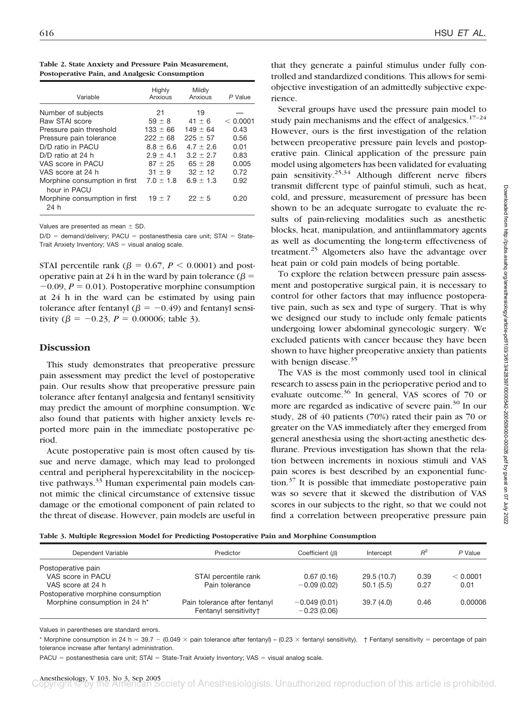|  |  |                                               | Table 2. State Anxiety and Pressure Pain Measurement, |  |
|--|--|-----------------------------------------------|-------------------------------------------------------|--|
|  |  | Postoperative Pain, and Analgesic Consumption |                                                       |  |

| Variable                                      | Highly<br>Anxious | Mildly<br>Anxious | P Value  |
|-----------------------------------------------|-------------------|-------------------|----------|
| Number of subjects                            | 21                | 19                |          |
| Raw STAI score                                | $59 \pm 8$        | $41 \pm 6$        | < 0.0001 |
| Pressure pain threshold                       | $133 \pm 66$      | $149 + 64$        | 0.43     |
| Pressure pain tolerance                       | $222 \pm 68$      | $225 \pm 57$      | 0.56     |
| D/D ratio in PACU                             | $8.8 + 6.6$       | $4.7 + 2.6$       | 0.01     |
| D/D ratio at 24 h                             | $2.9 + 4.1$       | $3.2 \pm 2.7$     | 0.83     |
| VAS score in PACU                             | $87 + 25$         | $65 + 28$         | 0.005    |
| VAS score at 24 h                             | $31 + 9$          | $32 + 12$         | 0.72     |
| Morphine consumption in first<br>hour in PACU | $7.0 \pm 1.8$     | $6.9 + 1.3$       | 0.92     |
| Morphine consumption in first<br>24 h         | $19 \pm 7$        | $22 + 5$          | 0.20     |

Values are presented as mean  $\pm$  SD.

 $D/D =$  demand/delivery; PACU = postanesthesia care unit; STAI = State-Trait Anxiety Inventory;  $VAS =$  visual analog scale.

STAI percentile rank ( $\beta = 0.67$ ,  $P < 0.0001$ ) and postoperative pain at 24 h in the ward by pain tolerance ( $\beta$  =  $-0.09$ ,  $P = 0.01$ ). Postoperative morphine consumption at 24 h in the ward can be estimated by using pain tolerance after fentanyl ( $\beta = -0.49$ ) and fentanyl sensitivity ( $\beta = -0.23$ ,  $P = 0.00006$ ; table 3).

# **Discussion**

This study demonstrates that preoperative pressure pain assessment may predict the level of postoperative pain. Our results show that preoperative pressure pain tolerance after fentanyl analgesia and fentanyl sensitivity may predict the amount of morphine consumption. We also found that patients with higher anxiety levels reported more pain in the immediate postoperative period.

Acute postoperative pain is most often caused by tissue and nerve damage, which may lead to prolonged central and peripheral hyperexcitability in the nociceptive pathways.<sup>33</sup> Human experimental pain models cannot mimic the clinical circumstance of extensive tissue damage or the emotional component of pain related to the threat of disease. However, pain models are useful in

that they generate a painful stimulus under fully controlled and standardized conditions. This allows for semiobjective investigation of an admittedly subjective experience.

Several groups have used the pressure pain model to study pain mechanisms and the effect of analgesics.<sup>17–24</sup> However, ours is the first investigation of the relation between preoperative pressure pain levels and postoperative pain. Clinical application of the pressure pain model using algometers has been validated for evaluating pain sensitivity.<sup>25,34</sup> Although different nerve fibers transmit different type of painful stimuli, such as heat, cold, and pressure, measurement of pressure has been shown to be an adequate surrogate to evaluate the results of pain-relieving modalities such as anesthetic blocks, heat, manipulation, and antiinflammatory agents as well as documenting the long-term effectiveness of treatment.<sup>25</sup> Algometers also have the advantage over heat pain or cold pain models of being portable.

To explore the relation between pressure pain assessment and postoperative surgical pain, it is necessary to control for other factors that may influence postoperative pain, such as sex and type of surgery. That is why we designed our study to include only female patients undergoing lower abdominal gynecologic surgery. We excluded patients with cancer because they have been shown to have higher preoperative anxiety than patients with benign disease. $35$ 

The VAS is the most commonly used tool in clinical research to assess pain in the perioperative period and to evaluate outcome.<sup>36</sup> In general, VAS scores of 70 or more are regarded as indicative of severe pain.<sup>30</sup> In our study, 28 of 40 patients (70%) rated their pain as 70 or greater on the VAS immediately after they emerged from general anesthesia using the short-acting anesthetic desflurane. Previous investigation has shown that the relation between increments in noxious stimuli and VAS pain scores is best described by an exponential function. $37$  It is possible that immediate postoperative pain was so severe that it skewed the distribution of VAS scores in our subjects to the right, so that we could not find a correlation between preoperative pressure pain

**Table 3. Multiple Regression Model for Predicting Postoperative Pain and Morphine Consumption**

| Dependent Variable                                                              | Predictor                                                          | Coefficient $(\beta)$           | Intercept                | $R^2$        | P Value          |  |
|---------------------------------------------------------------------------------|--------------------------------------------------------------------|---------------------------------|--------------------------|--------------|------------------|--|
| Postoperative pain<br>VAS score in PACU<br>VAS score at 24 h                    | STAI percentile rank<br>Pain tolerance                             | 0.67(0.16)<br>$-0.09(0.02)$     | 29.5 (10.7)<br>50.1(5.5) | 0.39<br>0.27 | < 0.0001<br>0.01 |  |
| Postoperative morphine consumption<br>Morphine consumption in 24 h <sup>*</sup> | Pain tolerance after fentanyl<br>Fentanyl sensitivity <sup>+</sup> | $-0.049(0.01)$<br>$-0.23(0.06)$ | 39.7(4.0)                | 0.46         | 0.00006          |  |

Values in parentheses are standard errors.

\* Morphine consumption in 24 h = 39.7 - (0.049  $\times$  pain tolerance after fentanyl) – (0.23  $\times$  fentanyl sensitivity). † Fentanyl sensitivity = percentage of pain tolerance increase after fentanyl administration.

PACU = postanesthesia care unit; STAI = State-Trait Anxiety Inventory; VAS = visual analog scale.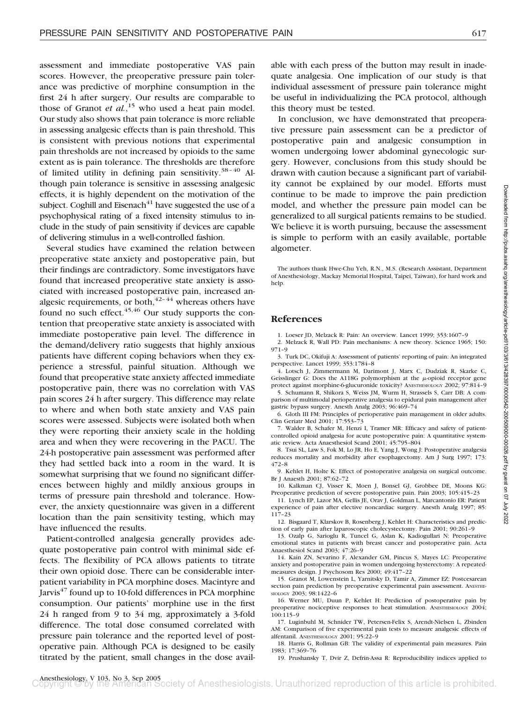assessment and immediate postoperative VAS pain scores. However, the preoperative pressure pain tolerance was predictive of morphine consumption in the first 24 h after surgery. Our results are comparable to those of Granot *et al.*<sup>15</sup> who used a heat pain model. Our study also shows that pain tolerance is more reliable in assessing analgesic effects than is pain threshold. This is consistent with previous notions that experimental pain thresholds are not increased by opioids to the same extent as is pain tolerance. The thresholds are therefore of limited utility in defining pain sensitivity.<sup>38-40</sup> Although pain tolerance is sensitive in assessing analgesic effects, it is highly dependent on the motivation of the subject. Coghill and Eisenach<sup> $41$ </sup> have suggested the use of a psychophysical rating of a fixed intensity stimulus to include in the study of pain sensitivity if devices are capable of delivering stimulus in a well-controlled fashion.

Several studies have examined the relation between preoperative state anxiety and postoperative pain, but their findings are contradictory. Some investigators have found that increased preoperative state anxiety is associated with increased postoperative pain, increased analgesic requirements, or both, $42-44$  whereas others have found no such effect.<sup>45,46</sup> Our study supports the contention that preoperative state anxiety is associated with immediate postoperative pain level. The difference in the demand/delivery ratio suggests that highly anxious patients have different coping behaviors when they experience a stressful, painful situation. Although we found that preoperative state anxiety affected immediate postoperative pain, there was no correlation with VAS pain scores 24 h after surgery. This difference may relate to where and when both state anxiety and VAS pain scores were assessed. Subjects were isolated both when they were reporting their anxiety scale in the holding area and when they were recovering in the PACU. The 24-h postoperative pain assessment was performed after they had settled back into a room in the ward. It is somewhat surprising that we found no significant differences between highly and mildly anxious groups in terms of pressure pain threshold and tolerance. However, the anxiety questionnaire was given in a different location than the pain sensitivity testing, which may have influenced the results.

Patient-controlled analgesia generally provides adequate postoperative pain control with minimal side effects. The flexibility of PCA allows patients to titrate their own opioid dose. There can be considerable interpatient variability in PCA morphine doses. Macintyre and Jarvis $47$  found up to 10-fold differences in PCA morphine consumption. Our patients' morphine use in the first 24 h ranged from 9 to 34 mg, approximately a 3-fold difference. The total dose consumed correlated with pressure pain tolerance and the reported level of postoperative pain. Although PCA is designed to be easily titrated by the patient, small changes in the dose available with each press of the button may result in inadequate analgesia. One implication of our study is that individual assessment of pressure pain tolerance might be useful in individualizing the PCA protocol, although this theory must be tested.

In conclusion, we have demonstrated that preoperative pressure pain assessment can be a predictor of postoperative pain and analgesic consumption in women undergoing lower abdominal gynecologic surgery. However, conclusions from this study should be drawn with caution because a significant part of variability cannot be explained by our model. Efforts must continue to be made to improve the pain prediction model, and whether the pressure pain model can be generalized to all surgical patients remains to be studied. We believe it is worth pursuing, because the assessment is simple to perform with an easily available, portable algometer.

The authors thank Hwe-Chu Yeh, R.N., M.S. (Research Assistant, Department of Anesthesiology, Mackay Memorial Hospital, Taipei, Taiwan), for hard work and help.

# **References**

1. Loeser JD, Melzack R: Pain: An overview. Lancet 1999; 353:1607–9

2. Melzack R, Wall PD: Pain mechanisms: A new theory. Science 1965; 150: 971–9

3. Turk DC, Okifuji A: Assessment of patients' reporting of pain: An integrated perspective. Lancet 1999; 353:1784–8

4. Lotsch J, Zimmermann M, Darimont J, Marx C, Dudziak R, Skarke C, Geisslinger G: Does the A118G polymorphism at the  $\mu$ -opioid receptor gene protect against morphine-6-glucuronide toxicity? ANESTHESIOLOGY 2002; 97:814–9

5. Schumann R, Shikora S, Weiss JM, Wurm H, Strassels S, Carr DB: A comparison of multimodal perioperative analgesia to epidural pain management after gastric bypass surgery. Anesth Analg 2003; 96:469–74

6. Gloth III FM: Principles of perioperative pain management in older adults. Clin Geriatr Med 2001; 17:553–73

7. Walder B, Schafer M, Henzi I, Tramer MR: Efficacy and safety of patientcontrolled opioid analgesia for acute postoperative pain: A quantitative systematic review. Acta Anaesthesiol Scand 2001; 45:795–804

8. Tsui SL, Law S, Fok M, Lo JR, Ho E, Yang J, Wong J: Postoperative analgesia reduces mortality and morbidity after esophagectomy. Am J Surg 1997; 173: 472–8

9. Kehlet H, Holte K: Effect of postoperative analgesia on surgical outcome. Br J Anaesth 2001; 87:62–72

10. Kalkman CJ, Visser K, Moen J, Bonsel GJ, Grobbee DE, Moons KG: Preoperative prediction of severe postoperative pain. Pain 2003; 105:415–23

11. Lynch EP, Lazor MA, Gellis JE, Orav J, Goldman L, Marcantonio ER: Patient experience of pain after elective noncardiac surgery. Anesth Analg 1997; 85: 117–23

12. Bisgaard T, Klarskov B, Rosenberg J, Kehlet H: Characteristics and prediction of early pain after laparoscopic cholecystectomy. Pain 2001; 90:261–9

13. Ozalp G, Sarioglu R, Tuncel G, Aslan K, Kadiogullari N: Preoperative emotional states in patients with breast cancer and postoperative pain. Acta Anaesthesiol Scand 2003; 47:26–9

14. Kain ZN, Sevarino F, Alexander GM, Pincus S, Mayes LC: Preoperative anxiety and postoperative pain in women undergoing hysterectomy: A repeatedmeasures design. J Psychosom Res 2000; 49:417–22

15. Granot M, Lowenstein L, Yarnitsky D, Tamir A, Zimmer EZ: Postcesarean section pain prediction by preoperative experimental pain assessment. ANESTHE-SIOLOGY 2003; 98:1422–6

16. Werner MU, Duun P, Kehlet H: Prediction of postoperative pain by preoperative nociceptive responses to heat stimulation. ANESTHESIOLOGY 2004; 100:115–9

17. Luginbuhl M, Schnider TW, Petersen-Felix S, Arendt-Nielsen L, Zbinden AM: Comparison of five experimental pain tests to measure analgesic effects of alfentanil. ANESTHESIOLOGY 2001; 95:22–9

18. Harris G, Rollman GB: The validity of experimental pain measures. Pain 1983; 17:369–76

19. Prushansky T, Dvir Z, Defrin-Assa R: Reproducibility indices applied to